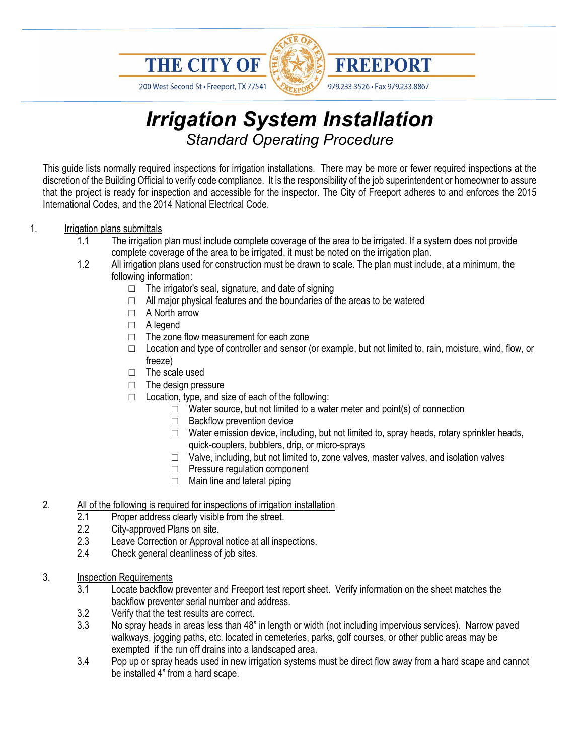

200 West Second St · Freeport, TX 77541



# *Irrigation System Installation Standard Operating Procedure*

This guide lists normally required inspections for irrigation installations. There may be more or fewer required inspections at the discretion of the Building Official to verify code compliance. It is the responsibility of the job superintendent or homeowner to assure that the project is ready for inspection and accessible for the inspector. The City of Freeport adheres to and enforces the 2015 International Codes, and the 2014 National Electrical Code.

### 1. Irrigation plans submittals

- 1.1 The irrigation plan must include complete coverage of the area to be irrigated. If a system does not provide complete coverage of the area to be irrigated, it must be noted on the irrigation plan.
- 1.2 All irrigation plans used for construction must be drawn to scale. The plan must include, at a minimum, the following information:
	- □ The irrigator's seal, signature, and date of signing
	- $\Box$  All major physical features and the boundaries of the areas to be watered
	- □ A North arrow
	- □ A legend
	- □ The zone flow measurement for each zone
	- $\Box$  Location and type of controller and sensor (or example, but not limited to, rain, moisture, wind, flow, or freeze)
	- □ The scale used
	- □ The design pressure
	- $\Box$  Location, type, and size of each of the following:
		- $\Box$  Water source, but not limited to a water meter and point(s) of connection
		- □ Backflow prevention device
		- $\Box$  Water emission device, including, but not limited to, spray heads, rotary sprinkler heads, quick-couplers, bubblers, drip, or micro-sprays
		- □ Valve, including, but not limited to, zone valves, master valves, and isolation valves
		- □ Pressure regulation component
		- $\Box$  Main line and lateral piping

### 2. All of the following is required for inspections of irrigation installation

- 2.1 Proper address clearly visible from the street.
- 2.2 City-approved Plans on site.<br>2.3 Leave Correction or Approva
- Leave Correction or Approval notice at all inspections.
- 2.4 Check general cleanliness of job sites.
- 3. **Inspection Requirements**<br>3.1 Locate backflow
	- Locate backflow preventer and Freeport test report sheet. Verify information on the sheet matches the backflow preventer serial number and address.
	- 3.2 Verify that the test results are correct.
	- 3.3 No spray heads in areas less than 48" in length or width (not including impervious services). Narrow paved walkways, jogging paths, etc. located in cemeteries, parks, golf courses, or other public areas may be exempted if the run off drains into a landscaped area.
	- 3.4 Pop up or spray heads used in new irrigation systems must be direct flow away from a hard scape and cannot be installed 4" from a hard scape.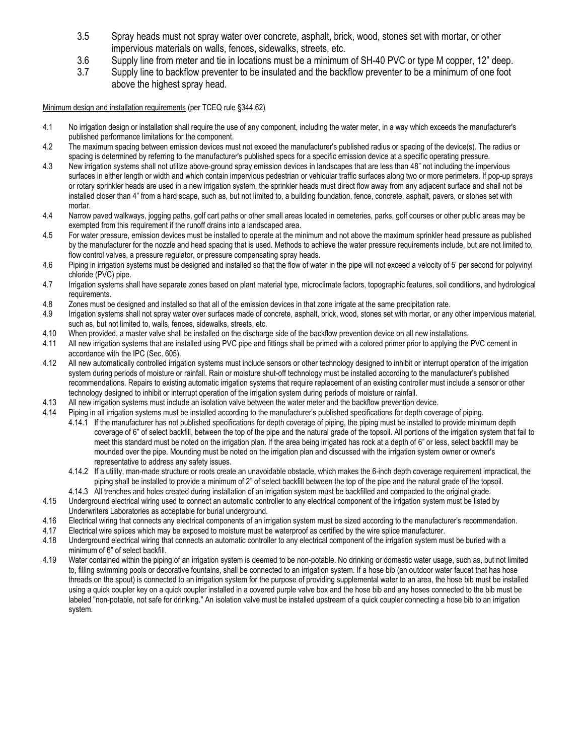- 3.5 Spray heads must not spray water over concrete, asphalt, brick, wood, stones set with mortar, or other impervious materials on walls, fences, sidewalks, streets, etc.
- 3.6 Supply line from meter and tie in locations must be a minimum of SH-40 PVC or type M copper, 12" deep.
- 3.7 Supply line to backflow preventer to be insulated and the backflow preventer to be a minimum of one foot above the highest spray head.

Minimum design and installation requirements (per TCEQ rule §344.62)

- 4.1 No irrigation design or installation shall require the use of any component, including the water meter, in a way which exceeds the manufacturer's published performance limitations for the component.
- 4.2 The maximum spacing between emission devices must not exceed the manufacturer's published radius or spacing of the device(s). The radius or spacing is determined by referring to the manufacturer's published specs for a specific emission device at a specific operating pressure.
- 4.3 New irrigation systems shall not utilize above-ground spray emission devices in landscapes that are less than 48" not including the impervious surfaces in either length or width and which contain impervious pedestrian or vehicular traffic surfaces along two or more perimeters. If pop-up sprays or rotary sprinkler heads are used in a new irrigation system, the sprinkler heads must direct flow away from any adjacent surface and shall not be installed closer than 4" from a hard scape, such as, but not limited to, a building foundation, fence, concrete, asphalt, pavers, or stones set with mortar.
- 4.4 Narrow paved walkways, jogging paths, golf cart paths or other small areas located in cemeteries, parks, golf courses or other public areas may be exempted from this requirement if the runoff drains into a landscaped area.
- 4.5 For water pressure, emission devices must be installed to operate at the minimum and not above the maximum sprinkler head pressure as published by the manufacturer for the nozzle and head spacing that is used. Methods to achieve the water pressure requirements include, but are not limited to, flow control valves, a pressure regulator, or pressure compensating spray heads.
- 4.6 Piping in irrigation systems must be designed and installed so that the flow of water in the pipe will not exceed a velocity of 5' per second for polyvinyl chloride (PVC) pipe.
- 4.7 Irrigation systems shall have separate zones based on plant material type, microclimate factors, topographic features, soil conditions, and hydrological requirements.
- 4.8 Zones must be designed and installed so that all of the emission devices in that zone irrigate at the same precipitation rate.<br>4.9 Irrigation systems shall not spray water over surfaces made of concrete, asphalt, brick
- Irrigation systems shall not spray water over surfaces made of concrete, asphalt, brick, wood, stones set with mortar, or any other impervious material, such as, but not limited to, walls, fences, sidewalks, streets, etc.
- 4.10 When provided, a master valve shall be installed on the discharge side of the backflow prevention device on all new installations.
- 4.11 All new irrigation systems that are installed using PVC pipe and fittings shall be primed with a colored primer prior to applying the PVC cement in accordance with the IPC (Sec. 605).
- 4.12 All new automatically controlled irrigation systems must include sensors or other technology designed to inhibit or interrupt operation of the irrigation system during periods of moisture or rainfall. Rain or moisture shut-off technology must be installed according to the manufacturer's published recommendations. Repairs to existing automatic irrigation systems that require replacement of an existing controller must include a sensor or other technology designed to inhibit or interrupt operation of the irrigation system during periods of moisture or rainfall.
- 4.13 All new irrigation systems must include an isolation valve between the water meter and the backflow prevention device.
- 4.14 Piping in all irrigation systems must be installed according to the manufacturer's published specifications for depth coverage of piping.
	- 4.14.1 If the manufacturer has not published specifications for depth coverage of piping, the piping must be installed to provide minimum depth coverage of 6" of select backfill, between the top of the pipe and the natural grade of the topsoil. All portions of the irrigation system that fail to meet this standard must be noted on the irrigation plan. If the area being irrigated has rock at a depth of 6" or less, select backfill may be mounded over the pipe. Mounding must be noted on the irrigation plan and discussed with the irrigation system owner or owner's representative to address any safety issues.
	- 4.14.2 If a utility, man-made structure or roots create an unavoidable obstacle, which makes the 6-inch depth coverage requirement impractical, the piping shall be installed to provide a minimum of 2" of select backfill between the top of the pipe and the natural grade of the topsoil. 4.14.3 All trenches and holes created during installation of an irrigation system must be backfilled and compacted to the original grade.
- 4.15 Underground electrical wiring used to connect an automatic controller to any electrical component of the irrigation system must be listed by Underwriters Laboratories as acceptable for burial underground.
- 4.16 Electrical wiring that connects any electrical components of an irrigation system must be sized according to the manufacturer's recommendation.
- 4.17 Electrical wire splices which may be exposed to moisture must be waterproof as certified by the wire splice manufacturer.
- 4.18 Underground electrical wiring that connects an automatic controller to any electrical component of the irrigation system must be buried with a minimum of 6" of select backfill.
- 4.19 Water contained within the piping of an irrigation system is deemed to be non-potable. No drinking or domestic water usage, such as, but not limited to, filling swimming pools or decorative fountains, shall be connected to an irrigation system. If a hose bib (an outdoor water faucet that has hose threads on the spout) is connected to an irrigation system for the purpose of providing supplemental water to an area, the hose bib must be installed using a quick coupler key on a quick coupler installed in a covered purple valve box and the hose bib and any hoses connected to the bib must be labeled "non-potable, not safe for drinking." An isolation valve must be installed upstream of a quick coupler connecting a hose bib to an irrigation system.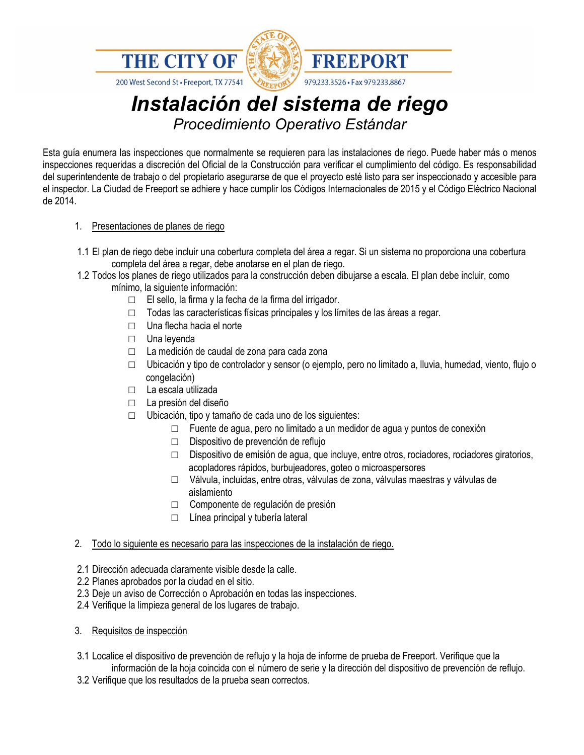

200 West Second St · Freeport, TX 77541



## *Instalación del sistema de riego Procedimiento Operativo Estándar*

**FREEPORT** 

979.233.3526 · Fax 979.233.8867

Esta guía enumera las inspecciones que normalmente se requieren para las instalaciones de riego. Puede haber más o menos inspecciones requeridas a discreción del Oficial de la Construcción para verificar el cumplimiento del código. Es responsabilidad del superintendente de trabajo o del propietario asegurarse de que el proyecto esté listo para ser inspeccionado y accesible para el inspector. La Ciudad de Freeport se adhiere y hace cumplir los Códigos Internacionales de 2015 y el Código Eléctrico Nacional de 2014.

### 1. Presentaciones de planes de riego

- 1.1 El plan de riego debe incluir una cobertura completa del área a regar. Si un sistema no proporciona una cobertura completa del área a regar, debe anotarse en el plan de riego.
- 1.2 Todos los planes de riego utilizados para la construcción deben dibujarse a escala. El plan debe incluir, como mínimo, la siguiente información:
	- □ El sello, la firma y la fecha de la firma del irrigador.
	- □ Todas las características físicas principales y los límites de las áreas a regar.
	- □ Una flecha hacia el norte
	- □ Una leyenda
	- □ La medición de caudal de zona para cada zona
	- $\Box$  Ubicación y tipo de controlador y sensor (o ejemplo, pero no limitado a, lluvia, humedad, viento, flujo o congelación)
	- □ La escala utilizada
	- □ La presión del diseño
	- $\Box$  Ubicación, tipo y tamaño de cada uno de los siguientes:
		- □ Fuente de agua, pero no limitado a un medidor de agua y puntos de conexión
		- □ Dispositivo de prevención de reflujo
		- □ Dispositivo de emisión de agua, que incluye, entre otros, rociadores, rociadores giratorios, acopladores rápidos, burbujeadores, goteo o microaspersores
		- □ Válvula, incluidas, entre otras, válvulas de zona, válvulas maestras y válvulas de aislamiento
		- □ Componente de regulación de presión
		- $\Box$  Línea principal y tubería lateral

### 2. Todo lo siguiente es necesario para las inspecciones de la instalación de riego.

- 2.1 Dirección adecuada claramente visible desde la calle.
- 2.2 Planes aprobados por la ciudad en el sitio.
- 2.3 Deje un aviso de Corrección o Aprobación en todas las inspecciones.
- 2.4 Verifique la limpieza general de los lugares de trabajo.
- 3. Requisitos de inspección
- 3.1 Localice el dispositivo de prevención de reflujo y la hoja de informe de prueba de Freeport. Verifique que la información de la hoja coincida con el número de serie y la dirección del dispositivo de prevención de reflujo.
- 3.2 Verifique que los resultados de la prueba sean correctos.